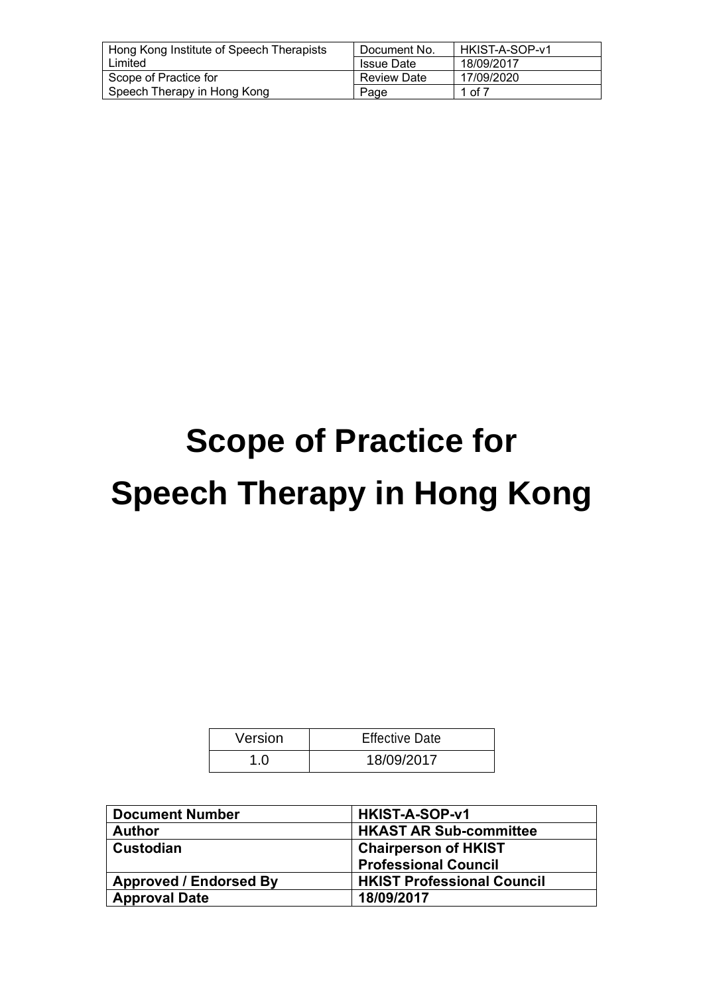| Hong Kong Institute of Speech Therapists | Document No.       | l HKIST-A-SOP-v1 |
|------------------------------------------|--------------------|------------------|
| Limited                                  | <b>Issue Date</b>  | 18/09/2017       |
| Scope of Practice for                    | <b>Review Date</b> | 17/09/2020       |
| Speech Therapy in Hong Kong              | Page               | 1 of 7           |

# **Scope of Practice for Speech Therapy in Hong Kong**

| Version | <b>Effective Date</b> |
|---------|-----------------------|
| 1.0     | 18/09/2017            |

| <b>Document Number</b>        | HKIST-A-SOP-v1                    |
|-------------------------------|-----------------------------------|
| <b>Author</b>                 | <b>HKAST AR Sub-committee</b>     |
| <b>Custodian</b>              | <b>Chairperson of HKIST</b>       |
|                               | <b>Professional Council</b>       |
| <b>Approved / Endorsed By</b> | <b>HKIST Professional Council</b> |
| <b>Approval Date</b>          | 18/09/2017                        |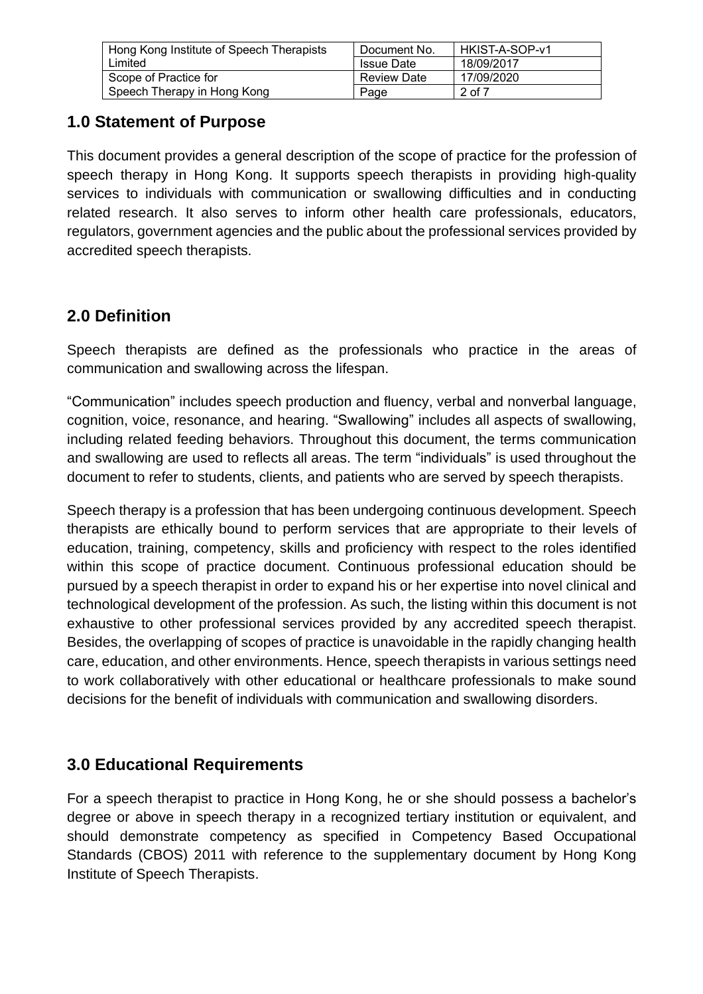| Hong Kong Institute of Speech Therapists | Document No.      | HKIST-A-SOP-v1 |
|------------------------------------------|-------------------|----------------|
| Limited                                  | <b>Issue Date</b> | 18/09/2017     |
| Scope of Practice for                    | Review Date       | 17/09/2020     |
| Speech Therapy in Hong Kong              | Page              | $2$ of $7$     |

## **1.0 Statement of Purpose**

This document provides a general description of the scope of practice for the profession of speech therapy in Hong Kong. It supports speech therapists in providing high-quality services to individuals with communication or swallowing difficulties and in conducting related research. It also serves to inform other health care professionals, educators, regulators, government agencies and the public about the professional services provided by accredited speech therapists.

# **2.0 Definition**

Speech therapists are defined as the professionals who practice in the areas of communication and swallowing across the lifespan.

"Communication" includes speech production and fluency, verbal and nonverbal language, cognition, voice, resonance, and hearing. "Swallowing" includes all aspects of swallowing, including related feeding behaviors. Throughout this document, the terms communication and swallowing are used to reflects all areas. The term "individuals" is used throughout the document to refer to students, clients, and patients who are served by speech therapists.

Speech therapy is a profession that has been undergoing continuous development. Speech therapists are ethically bound to perform services that are appropriate to their levels of education, training, competency, skills and proficiency with respect to the roles identified within this scope of practice document. Continuous professional education should be pursued by a speech therapist in order to expand his or her expertise into novel clinical and technological development of the profession. As such, the listing within this document is not exhaustive to other professional services provided by any accredited speech therapist. Besides, the overlapping of scopes of practice is unavoidable in the rapidly changing health care, education, and other environments. Hence, speech therapists in various settings need to work collaboratively with other educational or healthcare professionals to make sound decisions for the benefit of individuals with communication and swallowing disorders.

# **3.0 Educational Requirements**

For a speech therapist to practice in Hong Kong, he or she should possess a bachelor's degree or above in speech therapy in a recognized tertiary institution or equivalent, and should demonstrate competency as specified in Competency Based Occupational Standards (CBOS) 2011 with reference to the supplementary document by Hong Kong Institute of Speech Therapists.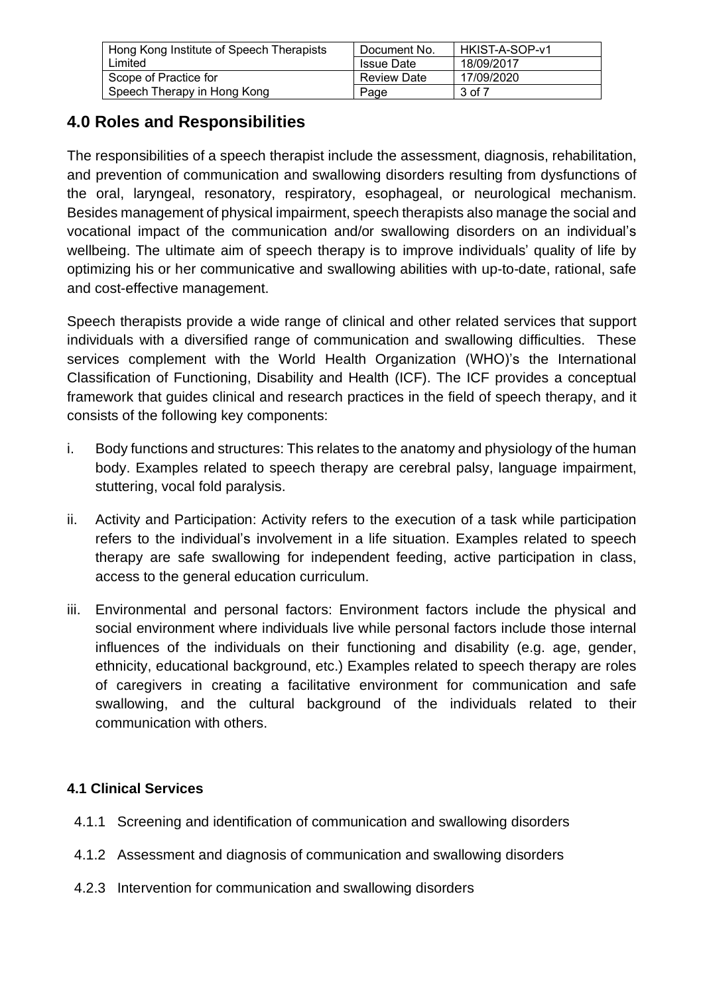| Hong Kong Institute of Speech Therapists | Document No.       | l HKIST-A-SOP-v1 |
|------------------------------------------|--------------------|------------------|
| Limited                                  | <b>Issue Date</b>  | 18/09/2017       |
| Scope of Practice for                    | <b>Review Date</b> | 17/09/2020       |
| Speech Therapy in Hong Kong              | Page               | 3 of 7           |

# **4.0 Roles and Responsibilities**

The responsibilities of a speech therapist include the assessment, diagnosis, rehabilitation, and prevention of communication and swallowing disorders resulting from dysfunctions of the oral, laryngeal, resonatory, respiratory, esophageal, or neurological mechanism. Besides management of physical impairment, speech therapists also manage the social and vocational impact of the communication and/or swallowing disorders on an individual's wellbeing. The ultimate aim of speech therapy is to improve individuals' quality of life by optimizing his or her communicative and swallowing abilities with up-to-date, rational, safe and cost-effective management.

Speech therapists provide a wide range of clinical and other related services that support individuals with a diversified range of communication and swallowing difficulties. These services complement with the World Health Organization (WHO)'s the International Classification of Functioning, Disability and Health (ICF). The ICF provides a conceptual framework that guides clinical and research practices in the field of speech therapy, and it consists of the following key components:

- i. Body functions and structures: This relates to the anatomy and physiology of the human body. Examples related to speech therapy are cerebral palsy, language impairment, stuttering, vocal fold paralysis.
- ii. Activity and Participation: Activity refers to the execution of a task while participation refers to the individual's involvement in a life situation. Examples related to speech therapy are safe swallowing for independent feeding, active participation in class, access to the general education curriculum.
- iii. Environmental and personal factors: Environment factors include the physical and social environment where individuals live while personal factors include those internal influences of the individuals on their functioning and disability (e.g. age, gender, ethnicity, educational background, etc.) Examples related to speech therapy are roles of caregivers in creating a facilitative environment for communication and safe swallowing, and the cultural background of the individuals related to their communication with others.

## **4.1 Clinical Services**

- 4.1.1 Screening and identification of communication and swallowing disorders
- 4.1.2 Assessment and diagnosis of communication and swallowing disorders
- 4.2.3 Intervention for communication and swallowing disorders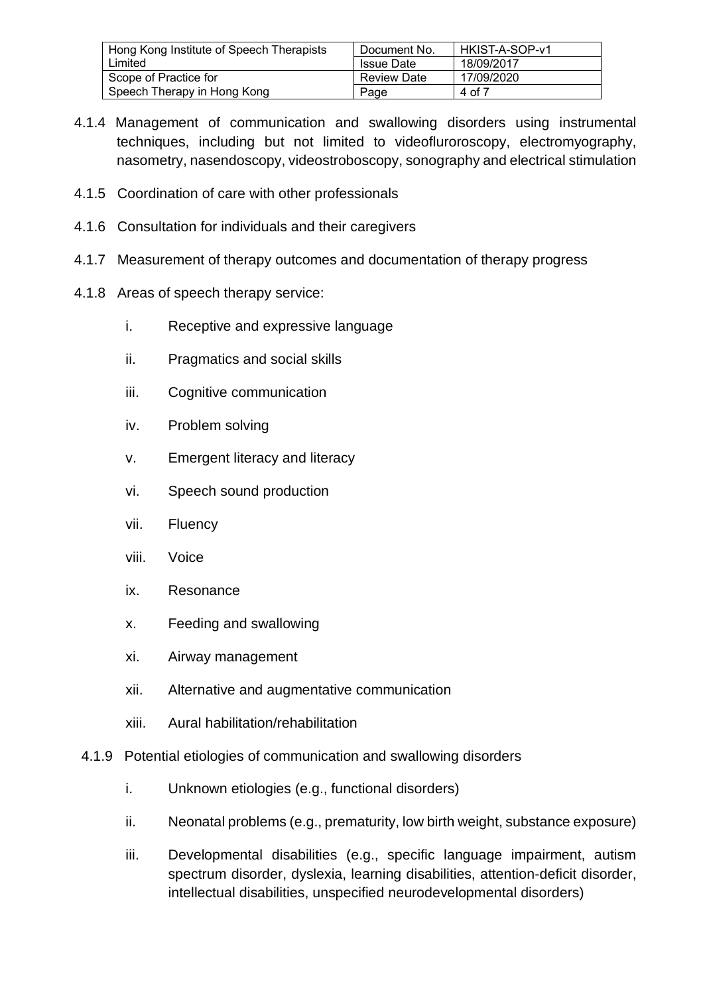| Hong Kong Institute of Speech Therapists | Document No.       | l HKIST-A-SOP-v1 |
|------------------------------------------|--------------------|------------------|
| Limited                                  | <b>Issue Date</b>  | 18/09/2017       |
| Scope of Practice for                    | <b>Review Date</b> | 17/09/2020       |
| Speech Therapy in Hong Kong              | Page               | 4 of 7           |

- 4.1.4 Management of communication and swallowing disorders using instrumental techniques, including but not limited to videofluroroscopy, electromyography, nasometry, nasendoscopy, videostroboscopy, sonography and electrical stimulation
- 4.1.5 Coordination of care with other professionals
- 4.1.6 Consultation for individuals and their caregivers
- 4.1.7 Measurement of therapy outcomes and documentation of therapy progress
- 4.1.8 Areas of speech therapy service:
	- i. Receptive and expressive language
	- ii. Pragmatics and social skills
	- iii. Cognitive communication
	- iv. Problem solving
	- v. Emergent literacy and literacy
	- vi. Speech sound production
	- vii. Fluency
	- viii. Voice
	- ix. Resonance
	- x. Feeding and swallowing
	- xi. Airway management
	- xii. Alternative and augmentative communication
	- xiii. Aural habilitation/rehabilitation
- 4.1.9 Potential etiologies of communication and swallowing disorders
	- i. Unknown etiologies (e.g., functional disorders)
	- ii. Neonatal problems (e.g., prematurity, low birth weight, substance exposure)
	- iii. Developmental disabilities (e.g., specific language impairment, autism spectrum disorder, dyslexia, learning disabilities, attention-deficit disorder, intellectual disabilities, unspecified neurodevelopmental disorders)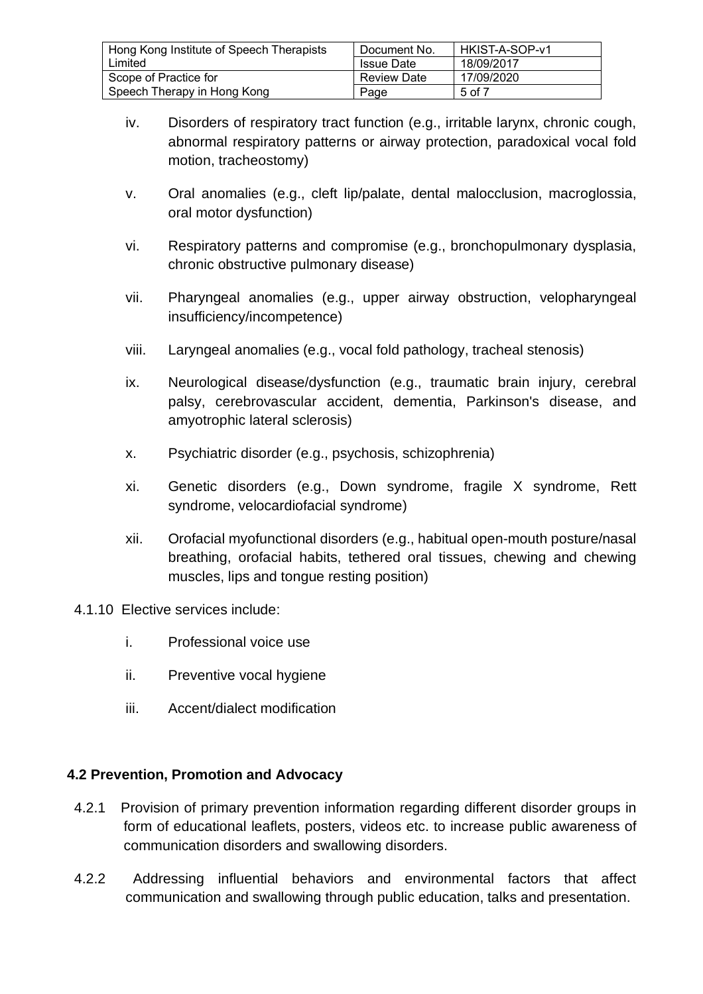| Hong Kong Institute of Speech Therapists | Document No.       | HKIST-A-SOP-v1 |
|------------------------------------------|--------------------|----------------|
| Limited                                  | <b>Issue Date</b>  | 18/09/2017     |
| Scope of Practice for                    | <b>Review Date</b> | 17/09/2020     |
| Speech Therapy in Hong Kong              | Page               | 5 of 7         |

- iv. Disorders of respiratory tract function (e.g., irritable larynx, chronic cough, abnormal respiratory patterns or airway protection, paradoxical vocal fold motion, tracheostomy)
- v. Oral anomalies (e.g., cleft lip/palate, dental malocclusion, macroglossia, oral motor dysfunction)
- vi. Respiratory patterns and compromise (e.g., bronchopulmonary dysplasia, chronic obstructive pulmonary disease)
- vii. Pharyngeal anomalies (e.g., upper airway obstruction, velopharyngeal insufficiency/incompetence)
- viii. Laryngeal anomalies (e.g., vocal fold pathology, tracheal stenosis)
- ix. Neurological disease/dysfunction (e.g., traumatic brain injury, cerebral palsy, cerebrovascular accident, dementia, Parkinson's disease, and amyotrophic lateral sclerosis)
- x. Psychiatric disorder (e.g., psychosis, schizophrenia)
- xi. Genetic disorders (e.g., Down syndrome, fragile X syndrome, Rett syndrome, velocardiofacial syndrome)
- xii. Orofacial myofunctional disorders (e.g., habitual open-mouth posture/nasal breathing, orofacial habits, tethered oral tissues, chewing and chewing muscles, lips and tongue resting position)

#### 4.1.10 Elective services include:

- i. Professional voice use
- ii. Preventive vocal hygiene
- iii. Accent/dialect modification

#### **4.2 Prevention, Promotion and Advocacy**

- 4.2.1 Provision of primary prevention information regarding different disorder groups in form of educational leaflets, posters, videos etc. to increase public awareness of communication disorders and swallowing disorders.
- 4.2.2 Addressing influential behaviors and environmental factors that affect communication and swallowing through public education, talks and presentation.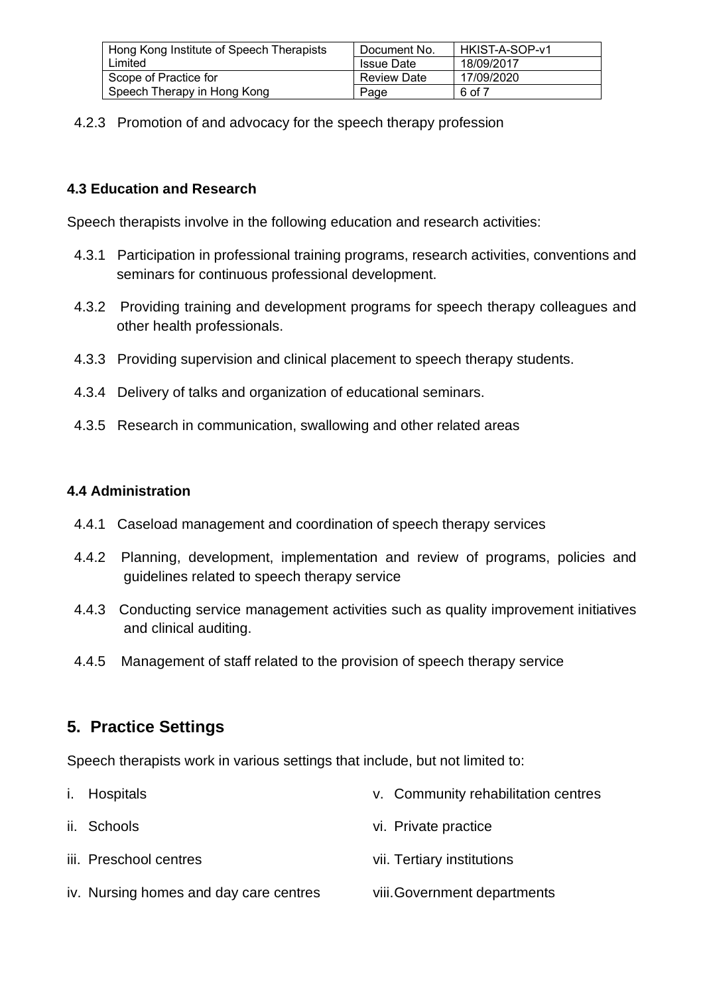| Hong Kong Institute of Speech Therapists | Document No.       | HKIST-A-SOP-v1 |
|------------------------------------------|--------------------|----------------|
| Limited                                  | <b>Issue Date</b>  | 18/09/2017     |
| Scope of Practice for                    | <b>Review Date</b> | 17/09/2020     |
| Speech Therapy in Hong Kong              | Page               | 6 of 7         |

4.2.3 Promotion of and advocacy for the speech therapy profession

#### **4.3 Education and Research**

Speech therapists involve in the following education and research activities:

- 4.3.1 Participation in professional training programs, research activities, conventions and seminars for continuous professional development.
- 4.3.2 Providing training and development programs for speech therapy colleagues and other health professionals.
- 4.3.3 Providing supervision and clinical placement to speech therapy students.
- 4.3.4 Delivery of talks and organization of educational seminars.
- 4.3.5 Research in communication, swallowing and other related areas

#### **4.4 Administration**

- 4.4.1 Caseload management and coordination of speech therapy services
- 4.4.2 Planning, development, implementation and review of programs, policies and guidelines related to speech therapy service
- 4.4.3 Conducting service management activities such as quality improvement initiatives and clinical auditing.
- 4.4.5 Management of staff related to the provision of speech therapy service

## **5. Practice Settings**

Speech therapists work in various settings that include, but not limited to:

i. Hospitals ii. Schools iii. Preschool centres iv. Nursing homes and day care centres v. Community rehabilitation centres vi. Private practice vii. Tertiary institutions viii.Government departments